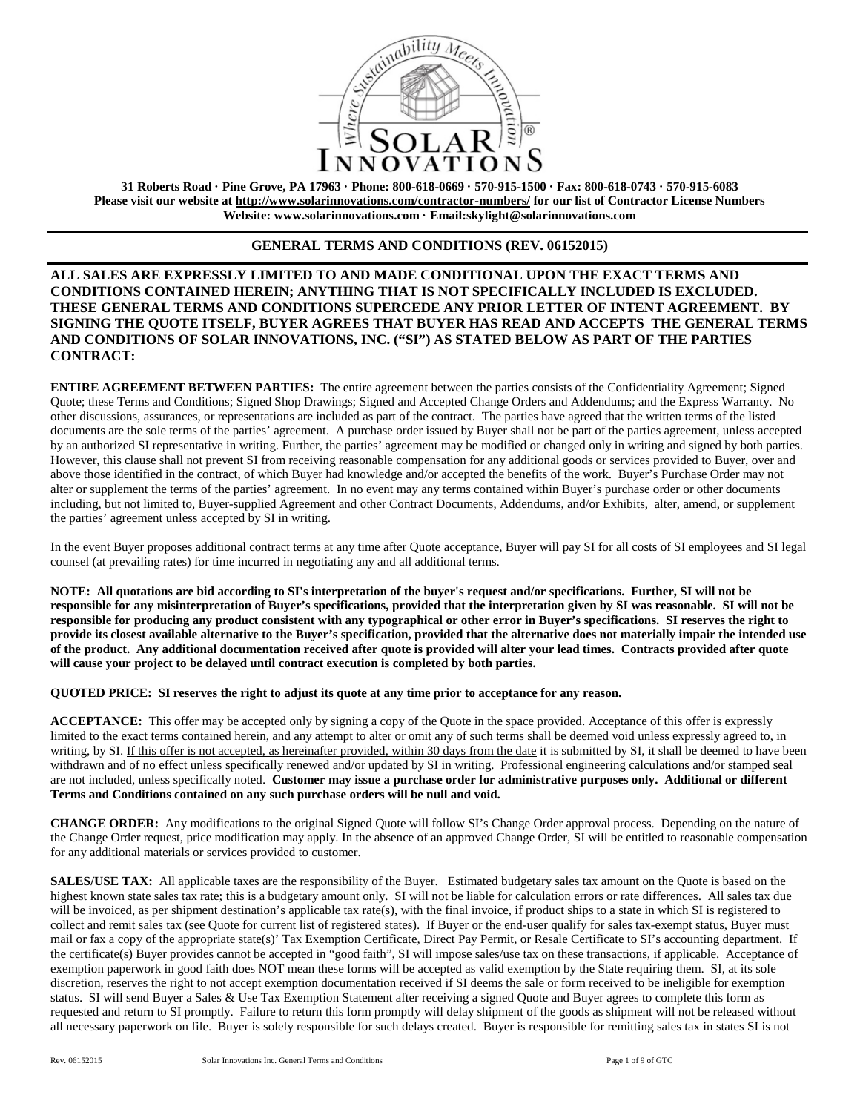

**31 Roberts Road · Pine Grove, PA 17963 · Phone: 800-618-0669 · 570-915-1500 · Fax: 800-618-0743 · 570-915-6083 Please visit our website at<http://www.solarinnovations.com/contractor-numbers/> for our list of Contractor License Numbers Website: [www.solarinnovations.com](http://www.solarinnovations.com/) · Email:skylight@solarinnovations.com**

## **GENERAL TERMS AND CONDITIONS (REV. 06152015)**

# **ALL SALES ARE EXPRESSLY LIMITED TO AND MADE CONDITIONAL UPON THE EXACT TERMS AND CONDITIONS CONTAINED HEREIN; ANYTHING THAT IS NOT SPECIFICALLY INCLUDED IS EXCLUDED. THESE GENERAL TERMS AND CONDITIONS SUPERCEDE ANY PRIOR LETTER OF INTENT AGREEMENT. BY SIGNING THE QUOTE ITSELF, BUYER AGREES THAT BUYER HAS READ AND ACCEPTS THE GENERAL TERMS AND CONDITIONS OF SOLAR INNOVATIONS, INC. ("SI") AS STATED BELOW AS PART OF THE PARTIES CONTRACT:**

**ENTIRE AGREEMENT BETWEEN PARTIES:** The entire agreement between the parties consists of the Confidentiality Agreement; Signed Quote; these Terms and Conditions; Signed Shop Drawings; Signed and Accepted Change Orders and Addendums; and the Express Warranty. No other discussions, assurances, or representations are included as part of the contract. The parties have agreed that the written terms of the listed documents are the sole terms of the parties' agreement. A purchase order issued by Buyer shall not be part of the parties agreement, unless accepted by an authorized SI representative in writing. Further, the parties' agreement may be modified or changed only in writing and signed by both parties. However, this clause shall not prevent SI from receiving reasonable compensation for any additional goods or services provided to Buyer, over and above those identified in the contract, of which Buyer had knowledge and/or accepted the benefits of the work. Buyer's Purchase Order may not alter or supplement the terms of the parties' agreement. In no event may any terms contained within Buyer's purchase order or other documents including, but not limited to, Buyer-supplied Agreement and other Contract Documents, Addendums, and/or Exhibits, alter, amend, or supplement the parties' agreement unless accepted by SI in writing.

In the event Buyer proposes additional contract terms at any time after Quote acceptance, Buyer will pay SI for all costs of SI employees and SI legal counsel (at prevailing rates) for time incurred in negotiating any and all additional terms.

**NOTE: All quotations are bid according to SI's interpretation of the buyer's request and/or specifications. Further, SI will not be responsible for any misinterpretation of Buyer's specifications, provided that the interpretation given by SI was reasonable. SI will not be responsible for producing any product consistent with any typographical or other error in Buyer's specifications. SI reserves the right to provide its closest available alternative to the Buyer's specification, provided that the alternative does not materially impair the intended use of the product. Any additional documentation received after quote is provided will alter your lead times. Contracts provided after quote will cause your project to be delayed until contract execution is completed by both parties.** 

#### **QUOTED PRICE: SI reserves the right to adjust its quote at any time prior to acceptance for any reason.**

**ACCEPTANCE:** This offer may be accepted only by signing a copy of the Quote in the space provided. Acceptance of this offer is expressly limited to the exact terms contained herein, and any attempt to alter or omit any of such terms shall be deemed void unless expressly agreed to, in writing, by SI. If this offer is not accepted, as hereinafter provided, within 30 days from the date it is submitted by SI, it shall be deemed to have been withdrawn and of no effect unless specifically renewed and/or updated by SI in writing. Professional engineering calculations and/or stamped seal are not included, unless specifically noted. **Customer may issue a purchase order for administrative purposes only. Additional or different Terms and Conditions contained on any such purchase orders will be null and void.**

**CHANGE ORDER:** Any modifications to the original Signed Quote will follow SI's Change Order approval process. Depending on the nature of the Change Order request, price modification may apply. In the absence of an approved Change Order, SI will be entitled to reasonable compensation for any additional materials or services provided to customer.

**SALES/USE TAX:** All applicable taxes are the responsibility of the Buyer. Estimated budgetary sales tax amount on the Quote is based on the highest known state sales tax rate; this is a budgetary amount only. SI will not be liable for calculation errors or rate differences. All sales tax due will be invoiced, as per shipment destination's applicable tax rate(s), with the final invoice, if product ships to a state in which SI is registered to collect and remit sales tax (see Quote for current list of registered states). If Buyer or the end-user qualify for sales tax-exempt status, Buyer must mail or fax a copy of the appropriate state(s)' Tax Exemption Certificate, Direct Pay Permit, or Resale Certificate to SI's accounting department. If the certificate(s) Buyer provides cannot be accepted in "good faith", SI will impose sales/use tax on these transactions, if applicable. Acceptance of exemption paperwork in good faith does NOT mean these forms will be accepted as valid exemption by the State requiring them. SI, at its sole discretion, reserves the right to not accept exemption documentation received if SI deems the sale or form received to be ineligible for exemption status. SI will send Buyer a Sales & Use Tax Exemption Statement after receiving a signed Quote and Buyer agrees to complete this form as requested and return to SI promptly. Failure to return this form promptly will delay shipment of the goods as shipment will not be released without all necessary paperwork on file. Buyer is solely responsible for such delays created. Buyer is responsible for remitting sales tax in states SI is not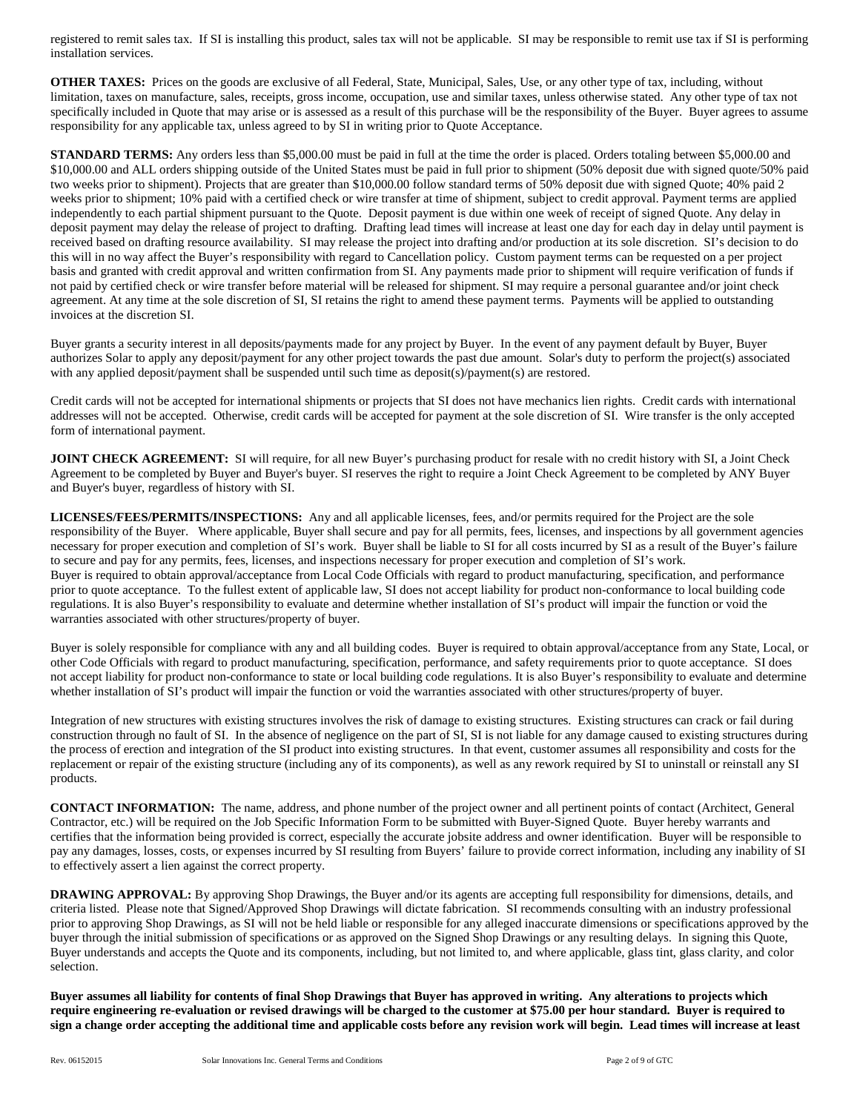registered to remit sales tax. If SI is installing this product, sales tax will not be applicable. SI may be responsible to remit use tax if SI is performing installation services.

**OTHER TAXES:** Prices on the goods are exclusive of all Federal, State, Municipal, Sales, Use, or any other type of tax, including, without limitation, taxes on manufacture, sales, receipts, gross income, occupation, use and similar taxes, unless otherwise stated. Any other type of tax not specifically included in Quote that may arise or is assessed as a result of this purchase will be the responsibility of the Buyer. Buyer agrees to assume responsibility for any applicable tax, unless agreed to by SI in writing prior to Quote Acceptance.

**STANDARD TERMS:** Any orders less than \$5,000.00 must be paid in full at the time the order is placed. Orders totaling between \$5,000.00 and \$10,000.00 and ALL orders shipping outside of the United States must be paid in full prior to shipment (50% deposit due with signed quote/50% paid two weeks prior to shipment). Projects that are greater than \$10,000.00 follow standard terms of 50% deposit due with signed Quote; 40% paid 2 weeks prior to shipment; 10% paid with a certified check or wire transfer at time of shipment, subject to credit approval. Payment terms are applied independently to each partial shipment pursuant to the Quote. Deposit payment is due within one week of receipt of signed Quote. Any delay in deposit payment may delay the release of project to drafting. Drafting lead times will increase at least one day for each day in delay until payment is received based on drafting resource availability. SI may release the project into drafting and/or production at its sole discretion. SI's decision to do this will in no way affect the Buyer's responsibility with regard to Cancellation policy. Custom payment terms can be requested on a per project basis and granted with credit approval and written confirmation from SI. Any payments made prior to shipment will require verification of funds if not paid by certified check or wire transfer before material will be released for shipment. SI may require a personal guarantee and/or joint check agreement. At any time at the sole discretion of SI, SI retains the right to amend these payment terms. Payments will be applied to outstanding invoices at the discretion SI.

Buyer grants a security interest in all deposits/payments made for any project by Buyer. In the event of any payment default by Buyer, Buyer authorizes Solar to apply any deposit/payment for any other project towards the past due amount. Solar's duty to perform the project(s) associated with any applied deposit/payment shall be suspended until such time as deposit(s)/payment(s) are restored.

Credit cards will not be accepted for international shipments or projects that SI does not have mechanics lien rights. Credit cards with international addresses will not be accepted. Otherwise, credit cards will be accepted for payment at the sole discretion of SI. Wire transfer is the only accepted form of international payment.

**JOINT CHECK AGREEMENT:** SI will require, for all new Buyer's purchasing product for resale with no credit history with SI, a Joint Check Agreement to be completed by Buyer and Buyer's buyer. SI reserves the right to require a Joint Check Agreement to be completed by ANY Buyer and Buyer's buyer, regardless of history with SI.

**LICENSES/FEES/PERMITS/INSPECTIONS:** Any and all applicable licenses, fees, and/or permits required for the Project are the sole responsibility of the Buyer. Where applicable, Buyer shall secure and pay for all permits, fees, licenses, and inspections by all government agencies necessary for proper execution and completion of SI's work. Buyer shall be liable to SI for all costs incurred by SI as a result of the Buyer's failure to secure and pay for any permits, fees, licenses, and inspections necessary for proper execution and completion of SI's work. Buyer is required to obtain approval/acceptance from Local Code Officials with regard to product manufacturing, specification, and performance prior to quote acceptance. To the fullest extent of applicable law, SI does not accept liability for product non-conformance to local building code regulations. It is also Buyer's responsibility to evaluate and determine whether installation of SI's product will impair the function or void the warranties associated with other structures/property of buyer.

Buyer is solely responsible for compliance with any and all building codes. Buyer is required to obtain approval/acceptance from any State, Local, or other Code Officials with regard to product manufacturing, specification, performance, and safety requirements prior to quote acceptance. SI does not accept liability for product non-conformance to state or local building code regulations. It is also Buyer's responsibility to evaluate and determine whether installation of SI's product will impair the function or void the warranties associated with other structures/property of buyer.

Integration of new structures with existing structures involves the risk of damage to existing structures. Existing structures can crack or fail during construction through no fault of SI. In the absence of negligence on the part of SI, SI is not liable for any damage caused to existing structures during the process of erection and integration of the SI product into existing structures. In that event, customer assumes all responsibility and costs for the replacement or repair of the existing structure (including any of its components), as well as any rework required by SI to uninstall or reinstall any SI products.

**CONTACT INFORMATION:** The name, address, and phone number of the project owner and all pertinent points of contact (Architect, General Contractor, etc.) will be required on the Job Specific Information Form to be submitted with Buyer-Signed Quote. Buyer hereby warrants and certifies that the information being provided is correct, especially the accurate jobsite address and owner identification. Buyer will be responsible to pay any damages, losses, costs, or expenses incurred by SI resulting from Buyers' failure to provide correct information, including any inability of SI to effectively assert a lien against the correct property.

**DRAWING APPROVAL:** By approving Shop Drawings, the Buyer and/or its agents are accepting full responsibility for dimensions, details, and criteria listed. Please note that Signed/Approved Shop Drawings will dictate fabrication. SI recommends consulting with an industry professional prior to approving Shop Drawings, as SI will not be held liable or responsible for any alleged inaccurate dimensions or specifications approved by the buyer through the initial submission of specifications or as approved on the Signed Shop Drawings or any resulting delays. In signing this Quote, Buyer understands and accepts the Quote and its components, including, but not limited to, and where applicable, glass tint, glass clarity, and color selection.

**Buyer assumes all liability for contents of final Shop Drawings that Buyer has approved in writing. Any alterations to projects which require engineering re-evaluation or revised drawings will be charged to the customer at \$75.00 per hour standard. Buyer is required to sign a change order accepting the additional time and applicable costs before any revision work will begin. Lead times will increase at least**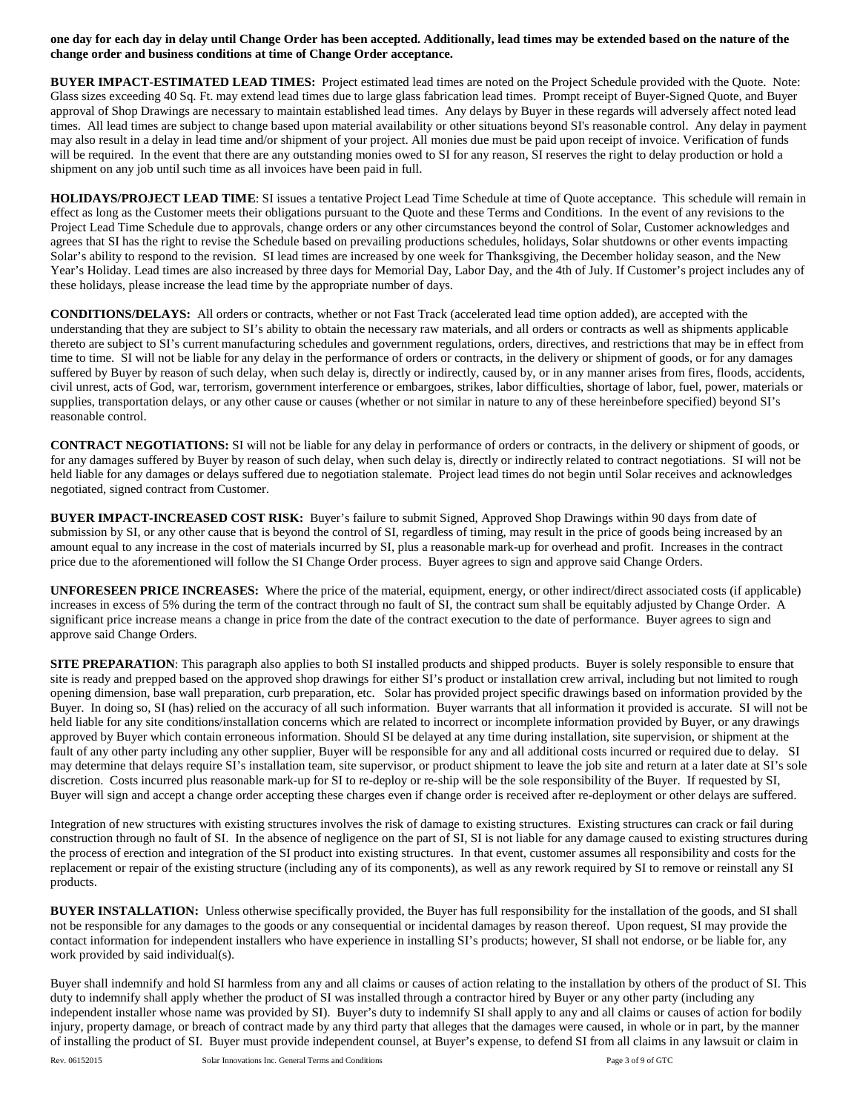**one day for each day in delay until Change Order has been accepted. Additionally, lead times may be extended based on the nature of the change order and business conditions at time of Change Order acceptance.**

**BUYER IMPACT**-**ESTIMATED LEAD TIMES:** Project estimated lead times are noted on the Project Schedule provided with the Quote. Note: Glass sizes exceeding 40 Sq. Ft. may extend lead times due to large glass fabrication lead times. Prompt receipt of Buyer-Signed Quote, and Buyer approval of Shop Drawings are necessary to maintain established lead times. Any delays by Buyer in these regards will adversely affect noted lead times. All lead times are subject to change based upon material availability or other situations beyond SI's reasonable control. Any delay in payment may also result in a delay in lead time and/or shipment of your project. All monies due must be paid upon receipt of invoice. Verification of funds will be required. In the event that there are any outstanding monies owed to SI for any reason, SI reserves the right to delay production or hold a shipment on any job until such time as all invoices have been paid in full.

**HOLIDAYS/PROJECT LEAD TIME**: SI issues a tentative Project Lead Time Schedule at time of Quote acceptance. This schedule will remain in effect as long as the Customer meets their obligations pursuant to the Quote and these Terms and Conditions. In the event of any revisions to the Project Lead Time Schedule due to approvals, change orders or any other circumstances beyond the control of Solar, Customer acknowledges and agrees that SI has the right to revise the Schedule based on prevailing productions schedules, holidays, Solar shutdowns or other events impacting Solar's ability to respond to the revision. SI lead times are increased by one week for Thanksgiving, the December holiday season, and the New Year's Holiday. Lead times are also increased by three days for Memorial Day, Labor Day, and the 4th of July. If Customer's project includes any of these holidays, please increase the lead time by the appropriate number of days.

**CONDITIONS/DELAYS:** All orders or contracts, whether or not Fast Track (accelerated lead time option added), are accepted with the understanding that they are subject to SI's ability to obtain the necessary raw materials, and all orders or contracts as well as shipments applicable thereto are subject to SI's current manufacturing schedules and government regulations, orders, directives, and restrictions that may be in effect from time to time. SI will not be liable for any delay in the performance of orders or contracts, in the delivery or shipment of goods, or for any damages suffered by Buyer by reason of such delay, when such delay is, directly or indirectly, caused by, or in any manner arises from fires, floods, accidents, civil unrest, acts of God, war, terrorism, government interference or embargoes, strikes, labor difficulties, shortage of labor, fuel, power, materials or supplies, transportation delays, or any other cause or causes (whether or not similar in nature to any of these hereinbefore specified) beyond SI's reasonable control.

**CONTRACT NEGOTIATIONS:** SI will not be liable for any delay in performance of orders or contracts, in the delivery or shipment of goods, or for any damages suffered by Buyer by reason of such delay, when such delay is, directly or indirectly related to contract negotiations. SI will not be held liable for any damages or delays suffered due to negotiation stalemate. Project lead times do not begin until Solar receives and acknowledges negotiated, signed contract from Customer.

**BUYER IMPACT-INCREASED COST RISK:** Buyer's failure to submit Signed, Approved Shop Drawings within 90 days from date of submission by SI, or any other cause that is beyond the control of SI, regardless of timing, may result in the price of goods being increased by an amount equal to any increase in the cost of materials incurred by SI, plus a reasonable mark-up for overhead and profit. Increases in the contract price due to the aforementioned will follow the SI Change Order process. Buyer agrees to sign and approve said Change Orders.

**UNFORESEEN PRICE INCREASES:** Where the price of the material, equipment, energy, or other indirect/direct associated costs (if applicable) increases in excess of 5% during the term of the contract through no fault of SI, the contract sum shall be equitably adjusted by Change Order. A significant price increase means a change in price from the date of the contract execution to the date of performance. Buyer agrees to sign and approve said Change Orders.

**SITE PREPARATION:** This paragraph also applies to both SI installed products and shipped products. Buyer is solely responsible to ensure that site is ready and prepped based on the approved shop drawings for either SI's product or installation crew arrival, including but not limited to rough opening dimension, base wall preparation, curb preparation, etc. Solar has provided project specific drawings based on information provided by the Buyer. In doing so, SI (has) relied on the accuracy of all such information. Buyer warrants that all information it provided is accurate. SI will not be held liable for any site conditions/installation concerns which are related to incorrect or incomplete information provided by Buyer, or any drawings approved by Buyer which contain erroneous information. Should SI be delayed at any time during installation, site supervision, or shipment at the fault of any other party including any other supplier, Buyer will be responsible for any and all additional costs incurred or required due to delay. SI may determine that delays require SI's installation team, site supervisor, or product shipment to leave the job site and return at a later date at SI's sole discretion. Costs incurred plus reasonable mark-up for SI to re-deploy or re-ship will be the sole responsibility of the Buyer. If requested by SI, Buyer will sign and accept a change order accepting these charges even if change order is received after re-deployment or other delays are suffered.

Integration of new structures with existing structures involves the risk of damage to existing structures. Existing structures can crack or fail during construction through no fault of SI. In the absence of negligence on the part of SI, SI is not liable for any damage caused to existing structures during the process of erection and integration of the SI product into existing structures. In that event, customer assumes all responsibility and costs for the replacement or repair of the existing structure (including any of its components), as well as any rework required by SI to remove or reinstall any SI products.

**BUYER INSTALLATION:** Unless otherwise specifically provided, the Buyer has full responsibility for the installation of the goods, and SI shall not be responsible for any damages to the goods or any consequential or incidental damages by reason thereof. Upon request, SI may provide the contact information for independent installers who have experience in installing SI's products; however, SI shall not endorse, or be liable for, any work provided by said individual(s).

Buyer shall indemnify and hold SI harmless from any and all claims or causes of action relating to the installation by others of the product of SI. This duty to indemnify shall apply whether the product of SI was installed through a contractor hired by Buyer or any other party (including any independent installer whose name was provided by SI). Buyer's duty to indemnify SI shall apply to any and all claims or causes of action for bodily injury, property damage, or breach of contract made by any third party that alleges that the damages were caused, in whole or in part, by the manner of installing the product of SI. Buyer must provide independent counsel, at Buyer's expense, to defend SI from all claims in any lawsuit or claim in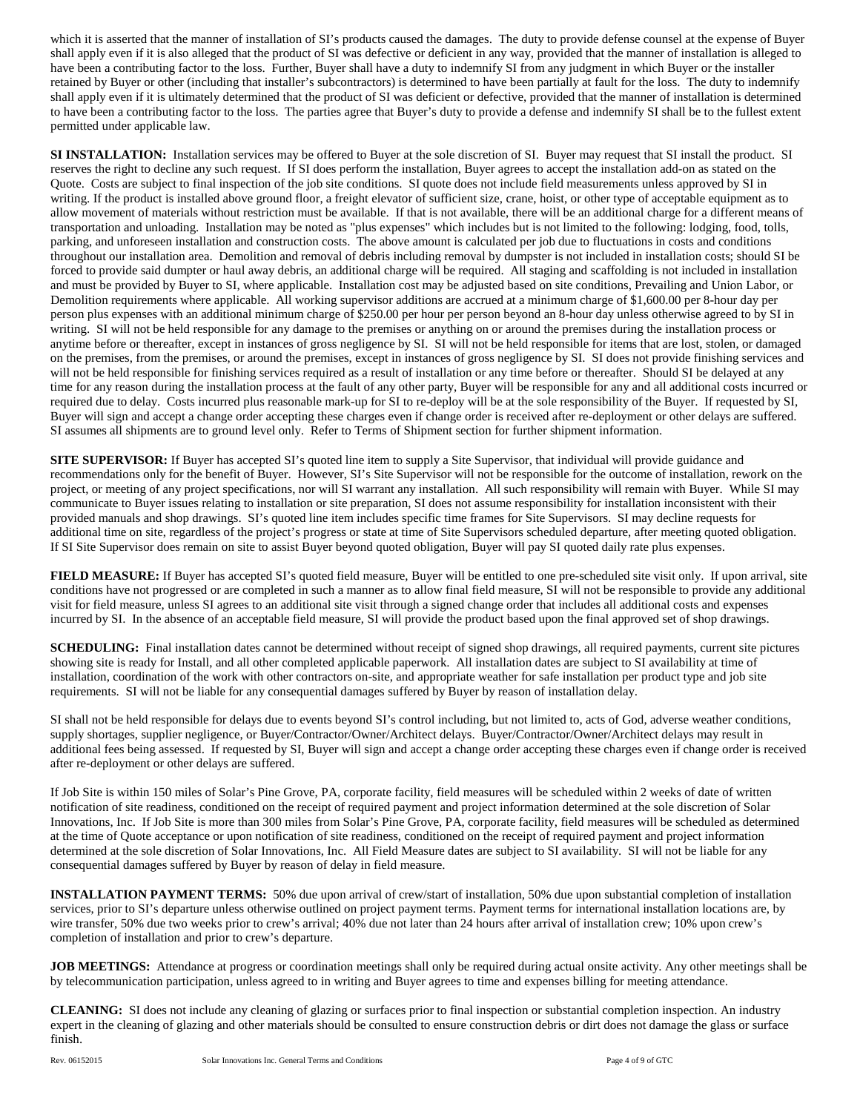which it is asserted that the manner of installation of SI's products caused the damages. The duty to provide defense counsel at the expense of Buyer shall apply even if it is also alleged that the product of SI was defective or deficient in any way, provided that the manner of installation is alleged to have been a contributing factor to the loss. Further, Buyer shall have a duty to indemnify SI from any judgment in which Buyer or the installer retained by Buyer or other (including that installer's subcontractors) is determined to have been partially at fault for the loss. The duty to indemnify shall apply even if it is ultimately determined that the product of SI was deficient or defective, provided that the manner of installation is determined to have been a contributing factor to the loss. The parties agree that Buyer's duty to provide a defense and indemnify SI shall be to the fullest extent permitted under applicable law.

**SI INSTALLATION:** Installation services may be offered to Buyer at the sole discretion of SI. Buyer may request that SI install the product. SI reserves the right to decline any such request. If SI does perform the installation, Buyer agrees to accept the installation add-on as stated on the Quote. Costs are subject to final inspection of the job site conditions. SI quote does not include field measurements unless approved by SI in writing. If the product is installed above ground floor, a freight elevator of sufficient size, crane, hoist, or other type of acceptable equipment as to allow movement of materials without restriction must be available. If that is not available, there will be an additional charge for a different means of transportation and unloading. Installation may be noted as "plus expenses" which includes but is not limited to the following: lodging, food, tolls, parking, and unforeseen installation and construction costs. The above amount is calculated per job due to fluctuations in costs and conditions throughout our installation area. Demolition and removal of debris including removal by dumpster is not included in installation costs; should SI be forced to provide said dumpter or haul away debris, an additional charge will be required. All staging and scaffolding is not included in installation and must be provided by Buyer to SI, where applicable. Installation cost may be adjusted based on site conditions, Prevailing and Union Labor, or Demolition requirements where applicable. All working supervisor additions are accrued at a minimum charge of \$1,600.00 per 8-hour day per person plus expenses with an additional minimum charge of \$250.00 per hour per person beyond an 8-hour day unless otherwise agreed to by SI in writing. SI will not be held responsible for any damage to the premises or anything on or around the premises during the installation process or anytime before or thereafter, except in instances of gross negligence by SI. SI will not be held responsible for items that are lost, stolen, or damaged on the premises, from the premises, or around the premises, except in instances of gross negligence by SI. SI does not provide finishing services and will not be held responsible for finishing services required as a result of installation or any time before or thereafter. Should SI be delayed at any time for any reason during the installation process at the fault of any other party, Buyer will be responsible for any and all additional costs incurred or required due to delay. Costs incurred plus reasonable mark-up for SI to re-deploy will be at the sole responsibility of the Buyer. If requested by SI, Buyer will sign and accept a change order accepting these charges even if change order is received after re-deployment or other delays are suffered. SI assumes all shipments are to ground level only. Refer to Terms of Shipment section for further shipment information.

**SITE SUPERVISOR:** If Buyer has accepted SI's quoted line item to supply a Site Supervisor, that individual will provide guidance and recommendations only for the benefit of Buyer. However, SI's Site Supervisor will not be responsible for the outcome of installation, rework on the project, or meeting of any project specifications, nor will SI warrant any installation. All such responsibility will remain with Buyer. While SI may communicate to Buyer issues relating to installation or site preparation, SI does not assume responsibility for installation inconsistent with their provided manuals and shop drawings. SI's quoted line item includes specific time frames for Site Supervisors. SI may decline requests for additional time on site, regardless of the project's progress or state at time of Site Supervisors scheduled departure, after meeting quoted obligation. If SI Site Supervisor does remain on site to assist Buyer beyond quoted obligation, Buyer will pay SI quoted daily rate plus expenses.

**FIELD MEASURE:** If Buyer has accepted SI's quoted field measure, Buyer will be entitled to one pre-scheduled site visit only. If upon arrival, site conditions have not progressed or are completed in such a manner as to allow final field measure, SI will not be responsible to provide any additional visit for field measure, unless SI agrees to an additional site visit through a signed change order that includes all additional costs and expenses incurred by SI. In the absence of an acceptable field measure, SI will provide the product based upon the final approved set of shop drawings.

**SCHEDULING:** Final installation dates cannot be determined without receipt of signed shop drawings, all required payments, current site pictures showing site is ready for Install, and all other completed applicable paperwork. All installation dates are subject to SI availability at time of installation, coordination of the work with other contractors on-site, and appropriate weather for safe installation per product type and job site requirements. SI will not be liable for any consequential damages suffered by Buyer by reason of installation delay.

SI shall not be held responsible for delays due to events beyond SI's control including, but not limited to, acts of God, adverse weather conditions, supply shortages, supplier negligence, or Buyer/Contractor/Owner/Architect delays. Buyer/Contractor/Owner/Architect delays may result in additional fees being assessed. If requested by SI, Buyer will sign and accept a change order accepting these charges even if change order is received after re-deployment or other delays are suffered.

If Job Site is within 150 miles of Solar's Pine Grove, PA, corporate facility, field measures will be scheduled within 2 weeks of date of written notification of site readiness, conditioned on the receipt of required payment and project information determined at the sole discretion of Solar Innovations, Inc. If Job Site is more than 300 miles from Solar's Pine Grove, PA, corporate facility, field measures will be scheduled as determined at the time of Quote acceptance or upon notification of site readiness, conditioned on the receipt of required payment and project information determined at the sole discretion of Solar Innovations, Inc. All Field Measure dates are subject to SI availability. SI will not be liable for any consequential damages suffered by Buyer by reason of delay in field measure.

**INSTALLATION PAYMENT TERMS:** 50% due upon arrival of crew/start of installation, 50% due upon substantial completion of installation services, prior to SI's departure unless otherwise outlined on project payment terms. Payment terms for international installation locations are, by wire transfer, 50% due two weeks prior to crew's arrival; 40% due not later than 24 hours after arrival of installation crew; 10% upon crew's completion of installation and prior to crew's departure.

**JOB MEETINGS:** Attendance at progress or coordination meetings shall only be required during actual onsite activity. Any other meetings shall be by telecommunication participation, unless agreed to in writing and Buyer agrees to time and expenses billing for meeting attendance.

**CLEANING:** SI does not include any cleaning of glazing or surfaces prior to final inspection or substantial completion inspection. An industry expert in the cleaning of glazing and other materials should be consulted to ensure construction debris or dirt does not damage the glass or surface finish.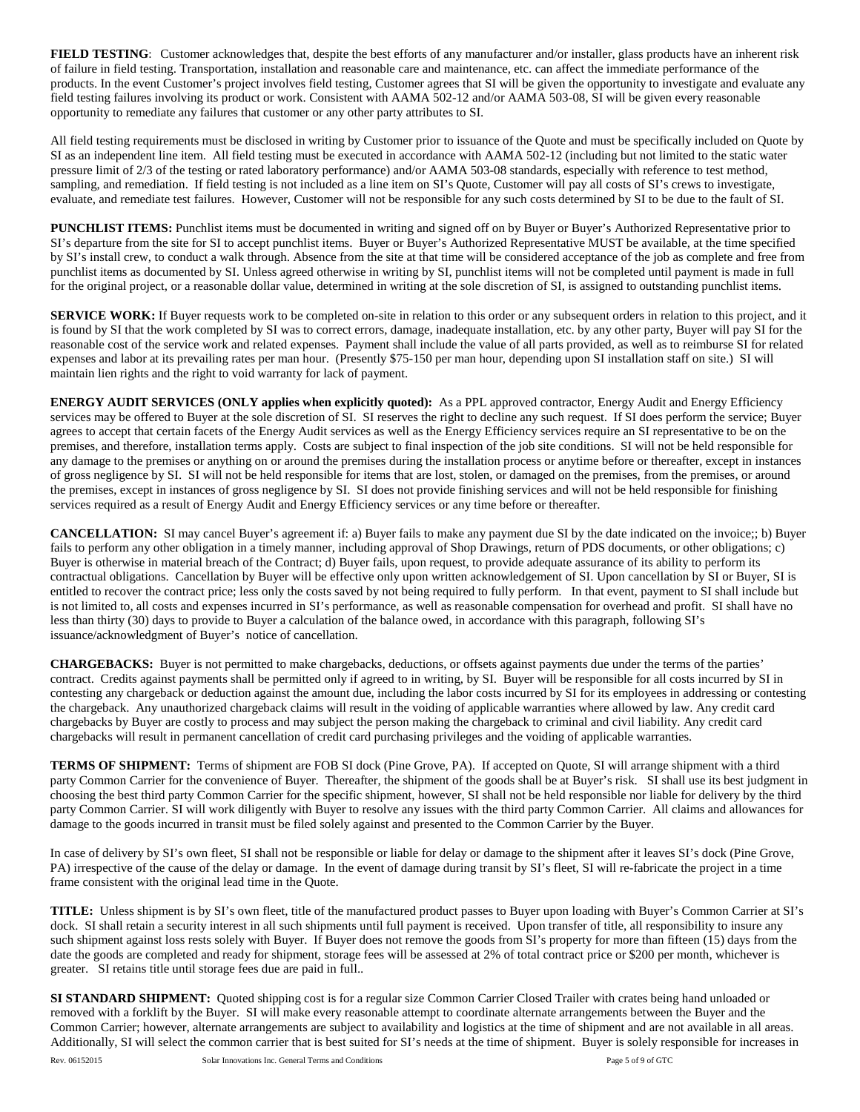**FIELD TESTING**: Customer acknowledges that, despite the best efforts of any manufacturer and/or installer, glass products have an inherent risk of failure in field testing. Transportation, installation and reasonable care and maintenance, etc. can affect the immediate performance of the products. In the event Customer's project involves field testing, Customer agrees that SI will be given the opportunity to investigate and evaluate any field testing failures involving its product or work. Consistent with AAMA 502-12 and/or AAMA 503-08, SI will be given every reasonable opportunity to remediate any failures that customer or any other party attributes to SI.

All field testing requirements must be disclosed in writing by Customer prior to issuance of the Quote and must be specifically included on Quote by SI as an independent line item. All field testing must be executed in accordance with AAMA 502-12 (including but not limited to the static water pressure limit of 2/3 of the testing or rated laboratory performance) and/or AAMA 503-08 standards, especially with reference to test method, sampling, and remediation. If field testing is not included as a line item on SI's Quote, Customer will pay all costs of SI's crews to investigate, evaluate, and remediate test failures. However, Customer will not be responsible for any such costs determined by SI to be due to the fault of SI.

**PUNCHLIST ITEMS:** Punchlist items must be documented in writing and signed off on by Buyer or Buyer's Authorized Representative prior to SI's departure from the site for SI to accept punchlist items. Buyer or Buyer's Authorized Representative MUST be available, at the time specified by SI's install crew, to conduct a walk through. Absence from the site at that time will be considered acceptance of the job as complete and free from punchlist items as documented by SI. Unless agreed otherwise in writing by SI, punchlist items will not be completed until payment is made in full for the original project, or a reasonable dollar value, determined in writing at the sole discretion of SI, is assigned to outstanding punchlist items.

**SERVICE WORK:** If Buyer requests work to be completed on-site in relation to this order or any subsequent orders in relation to this project, and it is found by SI that the work completed by SI was to correct errors, damage, inadequate installation, etc. by any other party, Buyer will pay SI for the reasonable cost of the service work and related expenses. Payment shall include the value of all parts provided, as well as to reimburse SI for related expenses and labor at its prevailing rates per man hour. (Presently \$75-150 per man hour, depending upon SI installation staff on site.) SI will maintain lien rights and the right to void warranty for lack of payment.

**ENERGY AUDIT SERVICES (ONLY applies when explicitly quoted):** As a PPL approved contractor, Energy Audit and Energy Efficiency services may be offered to Buyer at the sole discretion of SI. SI reserves the right to decline any such request. If SI does perform the service; Buyer agrees to accept that certain facets of the Energy Audit services as well as the Energy Efficiency services require an SI representative to be on the premises, and therefore, installation terms apply. Costs are subject to final inspection of the job site conditions. SI will not be held responsible for any damage to the premises or anything on or around the premises during the installation process or anytime before or thereafter, except in instances of gross negligence by SI. SI will not be held responsible for items that are lost, stolen, or damaged on the premises, from the premises, or around the premises, except in instances of gross negligence by SI. SI does not provide finishing services and will not be held responsible for finishing services required as a result of Energy Audit and Energy Efficiency services or any time before or thereafter.

**CANCELLATION:** SI may cancel Buyer's agreement if: a) Buyer fails to make any payment due SI by the date indicated on the invoice;; b) Buyer fails to perform any other obligation in a timely manner, including approval of Shop Drawings, return of PDS documents, or other obligations; c) Buyer is otherwise in material breach of the Contract; d) Buyer fails, upon request, to provide adequate assurance of its ability to perform its contractual obligations. Cancellation by Buyer will be effective only upon written acknowledgement of SI. Upon cancellation by SI or Buyer, SI is entitled to recover the contract price; less only the costs saved by not being required to fully perform. In that event, payment to SI shall include but is not limited to, all costs and expenses incurred in SI's performance, as well as reasonable compensation for overhead and profit. SI shall have no less than thirty (30) days to provide to Buyer a calculation of the balance owed, in accordance with this paragraph, following SI's issuance/acknowledgment of Buyer's notice of cancellation.

**CHARGEBACKS:** Buyer is not permitted to make chargebacks, deductions, or offsets against payments due under the terms of the parties' contract. Credits against payments shall be permitted only if agreed to in writing, by SI. Buyer will be responsible for all costs incurred by SI in contesting any chargeback or deduction against the amount due, including the labor costs incurred by SI for its employees in addressing or contesting the chargeback. Any unauthorized chargeback claims will result in the voiding of applicable warranties where allowed by law. Any credit card chargebacks by Buyer are costly to process and may subject the person making the chargeback to criminal and civil liability. Any credit card chargebacks will result in permanent cancellation of credit card purchasing privileges and the voiding of applicable warranties.

**TERMS OF SHIPMENT:** Terms of shipment are FOB SI dock (Pine Grove, PA). If accepted on Quote, SI will arrange shipment with a third party Common Carrier for the convenience of Buyer. Thereafter, the shipment of the goods shall be at Buyer's risk. SI shall use its best judgment in choosing the best third party Common Carrier for the specific shipment, however, SI shall not be held responsible nor liable for delivery by the third party Common Carrier. SI will work diligently with Buyer to resolve any issues with the third party Common Carrier. All claims and allowances for damage to the goods incurred in transit must be filed solely against and presented to the Common Carrier by the Buyer.

In case of delivery by SI's own fleet, SI shall not be responsible or liable for delay or damage to the shipment after it leaves SI's dock (Pine Grove, PA) irrespective of the cause of the delay or damage. In the event of damage during transit by SI's fleet, SI will re-fabricate the project in a time frame consistent with the original lead time in the Quote.

**TITLE:** Unless shipment is by SI's own fleet, title of the manufactured product passes to Buyer upon loading with Buyer's Common Carrier at SI's dock. SI shall retain a security interest in all such shipments until full payment is received. Upon transfer of title, all responsibility to insure any such shipment against loss rests solely with Buyer. If Buyer does not remove the goods from SI's property for more than fifteen (15) days from the date the goods are completed and ready for shipment, storage fees will be assessed at 2% of total contract price or \$200 per month, whichever is greater. SI retains title until storage fees due are paid in full..

**SI STANDARD SHIPMENT:** Quoted shipping cost is for a regular size Common Carrier Closed Trailer with crates being hand unloaded or removed with a forklift by the Buyer. SI will make every reasonable attempt to coordinate alternate arrangements between the Buyer and the Common Carrier; however, alternate arrangements are subject to availability and logistics at the time of shipment and are not available in all areas. Additionally, SI will select the common carrier that is best suited for SI's needs at the time of shipment. Buyer is solely responsible for increases in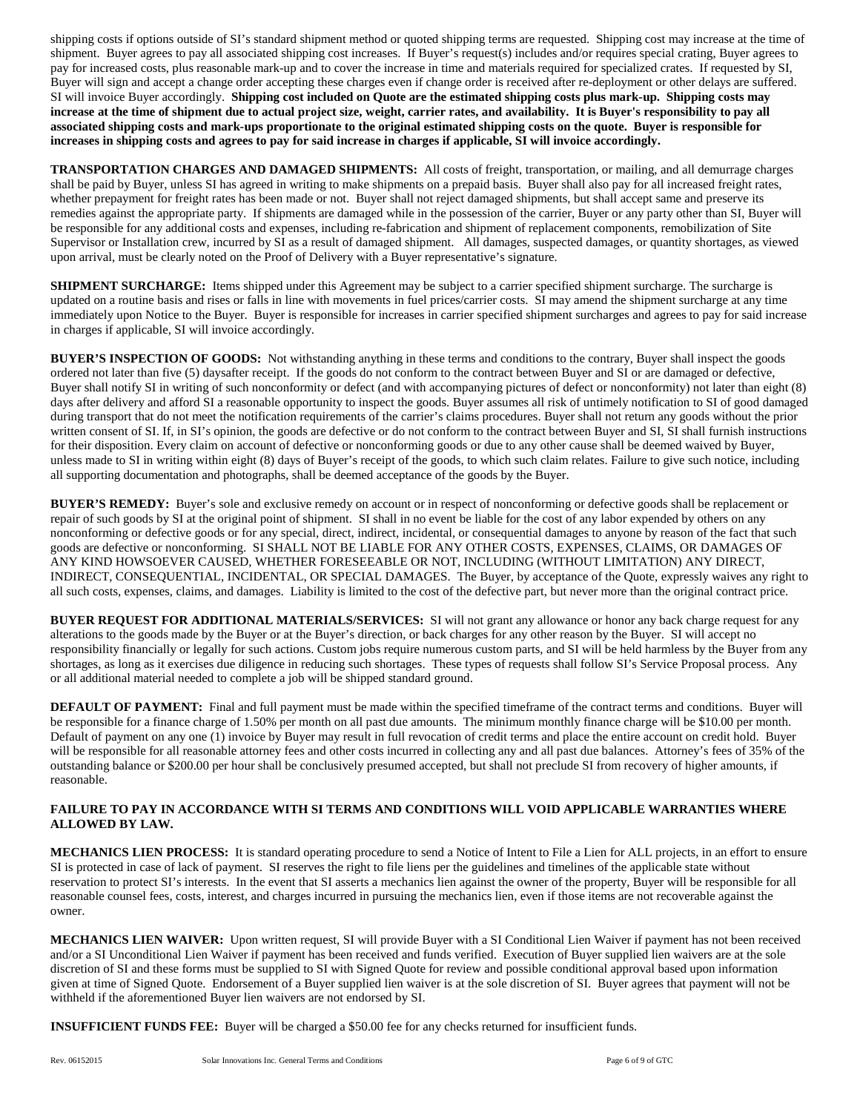shipping costs if options outside of SI's standard shipment method or quoted shipping terms are requested. Shipping cost may increase at the time of shipment. Buyer agrees to pay all associated shipping cost increases. If Buyer's request(s) includes and/or requires special crating, Buyer agrees to pay for increased costs, plus reasonable mark-up and to cover the increase in time and materials required for specialized crates. If requested by SI, Buyer will sign and accept a change order accepting these charges even if change order is received after re-deployment or other delays are suffered. SI will invoice Buyer accordingly. **Shipping cost included on Quote are the estimated shipping costs plus mark-up. Shipping costs may increase at the time of shipment due to actual project size, weight, carrier rates, and availability. It is Buyer's responsibility to pay all associated shipping costs and mark-ups proportionate to the original estimated shipping costs on the quote. Buyer is responsible for increases in shipping costs and agrees to pay for said increase in charges if applicable, SI will invoice accordingly.**

**TRANSPORTATION CHARGES AND DAMAGED SHIPMENTS:** All costs of freight, transportation, or mailing, and all demurrage charges shall be paid by Buyer, unless SI has agreed in writing to make shipments on a prepaid basis. Buyer shall also pay for all increased freight rates, whether prepayment for freight rates has been made or not. Buyer shall not reject damaged shipments, but shall accept same and preserve its remedies against the appropriate party. If shipments are damaged while in the possession of the carrier, Buyer or any party other than SI, Buyer will be responsible for any additional costs and expenses, including re-fabrication and shipment of replacement components, remobilization of Site Supervisor or Installation crew, incurred by SI as a result of damaged shipment. All damages, suspected damages, or quantity shortages, as viewed upon arrival, must be clearly noted on the Proof of Delivery with a Buyer representative's signature.

**SHIPMENT SURCHARGE:** Items shipped under this Agreement may be subject to a carrier specified shipment surcharge. The surcharge is updated on a routine basis and rises or falls in line with movements in fuel prices/carrier costs. SI may amend the shipment surcharge at any time immediately upon Notice to the Buyer. Buyer is responsible for increases in carrier specified shipment surcharges and agrees to pay for said increase in charges if applicable, SI will invoice accordingly.

**BUYER'S INSPECTION OF GOODS:** Not withstanding anything in these terms and conditions to the contrary, Buyer shall inspect the goods ordered not later than five (5) daysafter receipt. If the goods do not conform to the contract between Buyer and SI or are damaged or defective, Buyer shall notify SI in writing of such nonconformity or defect (and with accompanying pictures of defect or nonconformity) not later than eight (8) days after delivery and afford SI a reasonable opportunity to inspect the goods. Buyer assumes all risk of untimely notification to SI of good damaged during transport that do not meet the notification requirements of the carrier's claims procedures. Buyer shall not return any goods without the prior written consent of SI. If, in SI's opinion, the goods are defective or do not conform to the contract between Buyer and SI, SI shall furnish instructions for their disposition. Every claim on account of defective or nonconforming goods or due to any other cause shall be deemed waived by Buyer, unless made to SI in writing within eight (8) days of Buyer's receipt of the goods, to which such claim relates. Failure to give such notice, including all supporting documentation and photographs, shall be deemed acceptance of the goods by the Buyer.

**BUYER'S REMEDY:** Buyer's sole and exclusive remedy on account or in respect of nonconforming or defective goods shall be replacement or repair of such goods by SI at the original point of shipment. SI shall in no event be liable for the cost of any labor expended by others on any nonconforming or defective goods or for any special, direct, indirect, incidental, or consequential damages to anyone by reason of the fact that such goods are defective or nonconforming. SI SHALL NOT BE LIABLE FOR ANY OTHER COSTS, EXPENSES, CLAIMS, OR DAMAGES OF ANY KIND HOWSOEVER CAUSED, WHETHER FORESEEABLE OR NOT, INCLUDING (WITHOUT LIMITATION) ANY DIRECT, INDIRECT, CONSEQUENTIAL, INCIDENTAL, OR SPECIAL DAMAGES. The Buyer, by acceptance of the Quote, expressly waives any right to all such costs, expenses, claims, and damages. Liability is limited to the cost of the defective part, but never more than the original contract price.

**BUYER REQUEST FOR ADDITIONAL MATERIALS/SERVICES:** SI will not grant any allowance or honor any back charge request for any alterations to the goods made by the Buyer or at the Buyer's direction, or back charges for any other reason by the Buyer. SI will accept no responsibility financially or legally for such actions. Custom jobs require numerous custom parts, and SI will be held harmless by the Buyer from any shortages, as long as it exercises due diligence in reducing such shortages. These types of requests shall follow SI's Service Proposal process. Any or all additional material needed to complete a job will be shipped standard ground.

**DEFAULT OF PAYMENT:** Final and full payment must be made within the specified timeframe of the contract terms and conditions. Buyer will be responsible for a finance charge of 1.50% per month on all past due amounts. The minimum monthly finance charge will be \$10.00 per month. Default of payment on any one (1) invoice by Buyer may result in full revocation of credit terms and place the entire account on credit hold. Buyer will be responsible for all reasonable attorney fees and other costs incurred in collecting any and all past due balances. Attorney's fees of 35% of the outstanding balance or \$200.00 per hour shall be conclusively presumed accepted, but shall not preclude SI from recovery of higher amounts, if reasonable.

### **FAILURE TO PAY IN ACCORDANCE WITH SI TERMS AND CONDITIONS WILL VOID APPLICABLE WARRANTIES WHERE ALLOWED BY LAW.**

**MECHANICS LIEN PROCESS:** It is standard operating procedure to send a Notice of Intent to File a Lien for ALL projects, in an effort to ensure SI is protected in case of lack of payment. SI reserves the right to file liens per the guidelines and timelines of the applicable state without reservation to protect SI's interests. In the event that SI asserts a mechanics lien against the owner of the property, Buyer will be responsible for all reasonable counsel fees, costs, interest, and charges incurred in pursuing the mechanics lien, even if those items are not recoverable against the owner.

**MECHANICS LIEN WAIVER:** Upon written request, SI will provide Buyer with a SI Conditional Lien Waiver if payment has not been received and/or a SI Unconditional Lien Waiver if payment has been received and funds verified. Execution of Buyer supplied lien waivers are at the sole discretion of SI and these forms must be supplied to SI with Signed Quote for review and possible conditional approval based upon information given at time of Signed Quote. Endorsement of a Buyer supplied lien waiver is at the sole discretion of SI. Buyer agrees that payment will not be withheld if the aforementioned Buyer lien waivers are not endorsed by SI.

**INSUFFICIENT FUNDS FEE:** Buyer will be charged a \$50.00 fee for any checks returned for insufficient funds.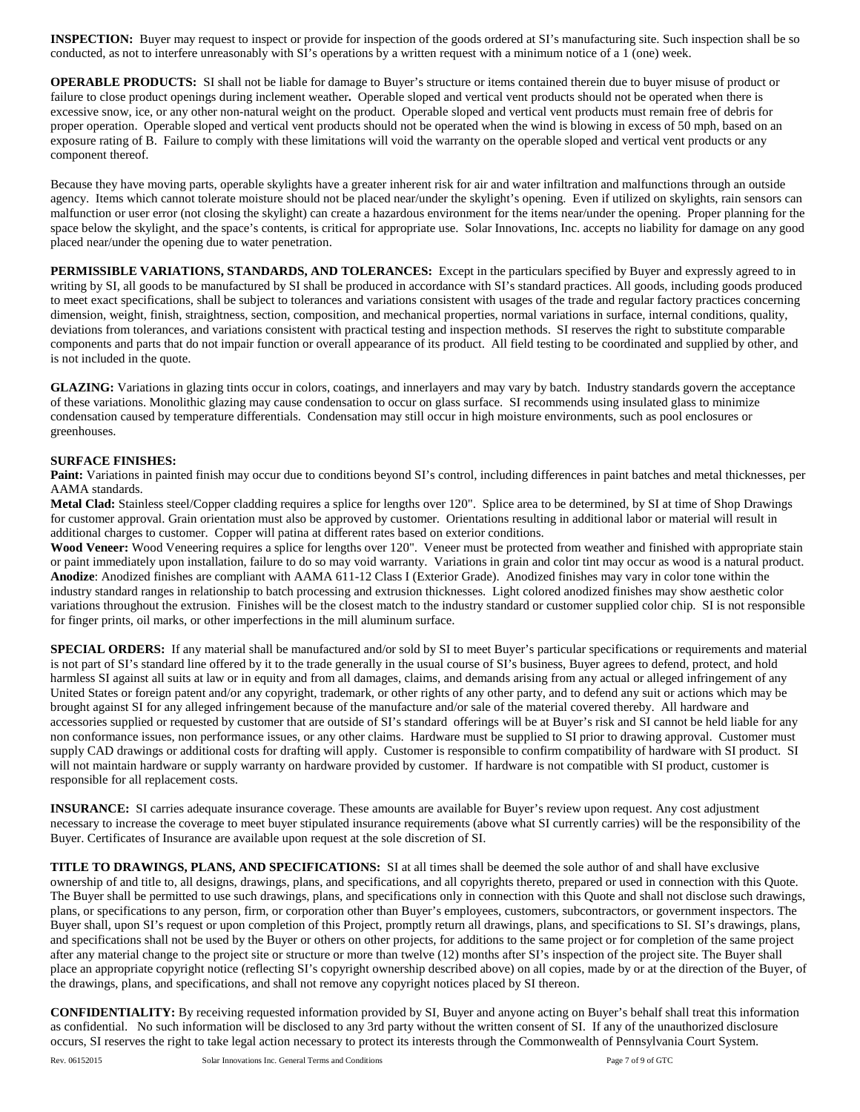**INSPECTION:** Buyer may request to inspect or provide for inspection of the goods ordered at SI's manufacturing site. Such inspection shall be so conducted, as not to interfere unreasonably with SI's operations by a written request with a minimum notice of a 1 (one) week.

**OPERABLE PRODUCTS:** SI shall not be liable for damage to Buyer's structure or items contained therein due to buyer misuse of product or failure to close product openings during inclement weather**.** Operable sloped and vertical vent products should not be operated when there is excessive snow, ice, or any other non-natural weight on the product. Operable sloped and vertical vent products must remain free of debris for proper operation. Operable sloped and vertical vent products should not be operated when the wind is blowing in excess of 50 mph, based on an exposure rating of B. Failure to comply with these limitations will void the warranty on the operable sloped and vertical vent products or any component thereof.

Because they have moving parts, operable skylights have a greater inherent risk for air and water infiltration and malfunctions through an outside agency. Items which cannot tolerate moisture should not be placed near/under the skylight's opening. Even if utilized on skylights, rain sensors can malfunction or user error (not closing the skylight) can create a hazardous environment for the items near/under the opening. Proper planning for the space below the skylight, and the space's contents, is critical for appropriate use. Solar Innovations, Inc. accepts no liability for damage on any good placed near/under the opening due to water penetration.

**PERMISSIBLE VARIATIONS, STANDARDS, AND TOLERANCES:** Except in the particulars specified by Buyer and expressly agreed to in writing by SI, all goods to be manufactured by SI shall be produced in accordance with SI's standard practices. All goods, including goods produced to meet exact specifications, shall be subject to tolerances and variations consistent with usages of the trade and regular factory practices concerning dimension, weight, finish, straightness, section, composition, and mechanical properties, normal variations in surface, internal conditions, quality, deviations from tolerances, and variations consistent with practical testing and inspection methods. SI reserves the right to substitute comparable components and parts that do not impair function or overall appearance of its product. All field testing to be coordinated and supplied by other, and is not included in the quote.

GLAZING: Variations in glazing tints occur in colors, coatings, and innerlayers and may vary by batch. Industry standards govern the acceptance of these variations. Monolithic glazing may cause condensation to occur on glass surface. SI recommends using insulated glass to minimize condensation caused by temperature differentials. Condensation may still occur in high moisture environments, such as pool enclosures or greenhouses.

#### **SURFACE FINISHES:**

Paint: Variations in painted finish may occur due to conditions beyond SI's control, including differences in paint batches and metal thicknesses, per AAMA standards.

**Metal Clad:** Stainless steel/Copper cladding requires a splice for lengths over 120". Splice area to be determined, by SI at time of Shop Drawings for customer approval. Grain orientation must also be approved by customer. Orientations resulting in additional labor or material will result in additional charges to customer. Copper will patina at different rates based on exterior conditions.

Wood Veneer: Wood Veneering requires a splice for lengths over 120". Veneer must be protected from weather and finished with appropriate stain or paint immediately upon installation, failure to do so may void warranty. Variations in grain and color tint may occur as wood is a natural product. **Anodize**: Anodized finishes are compliant with AAMA 611-12 Class I (Exterior Grade). Anodized finishes may vary in color tone within the industry standard ranges in relationship to batch processing and extrusion thicknesses. Light colored anodized finishes may show aesthetic color variations throughout the extrusion. Finishes will be the closest match to the industry standard or customer supplied color chip. SI is not responsible for finger prints, oil marks, or other imperfections in the mill aluminum surface.

**SPECIAL ORDERS:** If any material shall be manufactured and/or sold by SI to meet Buyer's particular specifications or requirements and material is not part of SI's standard line offered by it to the trade generally in the usual course of SI's business, Buyer agrees to defend, protect, and hold harmless SI against all suits at law or in equity and from all damages, claims, and demands arising from any actual or alleged infringement of any United States or foreign patent and/or any copyright, trademark, or other rights of any other party, and to defend any suit or actions which may be brought against SI for any alleged infringement because of the manufacture and/or sale of the material covered thereby. All hardware and accessories supplied or requested by customer that are outside of SI's standard offerings will be at Buyer's risk and SI cannot be held liable for any non conformance issues, non performance issues, or any other claims. Hardware must be supplied to SI prior to drawing approval. Customer must supply CAD drawings or additional costs for drafting will apply. Customer is responsible to confirm compatibility of hardware with SI product. SI will not maintain hardware or supply warranty on hardware provided by customer. If hardware is not compatible with SI product, customer is responsible for all replacement costs.

**INSURANCE:** SI carries adequate insurance coverage. These amounts are available for Buyer's review upon request. Any cost adjustment necessary to increase the coverage to meet buyer stipulated insurance requirements (above what SI currently carries) will be the responsibility of the Buyer. Certificates of Insurance are available upon request at the sole discretion of SI.

**TITLE TO DRAWINGS, PLANS, AND SPECIFICATIONS:** SI at all times shall be deemed the sole author of and shall have exclusive ownership of and title to, all designs, drawings, plans, and specifications, and all copyrights thereto, prepared or used in connection with this Quote. The Buyer shall be permitted to use such drawings, plans, and specifications only in connection with this Quote and shall not disclose such drawings, plans, or specifications to any person, firm, or corporation other than Buyer's employees, customers, subcontractors, or government inspectors. The Buyer shall, upon SI's request or upon completion of this Project, promptly return all drawings, plans, and specifications to SI. SI's drawings, plans, and specifications shall not be used by the Buyer or others on other projects, for additions to the same project or for completion of the same project after any material change to the project site or structure or more than twelve (12) months after SI's inspection of the project site. The Buyer shall place an appropriate copyright notice (reflecting SI's copyright ownership described above) on all copies, made by or at the direction of the Buyer, of the drawings, plans, and specifications, and shall not remove any copyright notices placed by SI thereon.

**CONFIDENTIALITY:** By receiving requested information provided by SI, Buyer and anyone acting on Buyer's behalf shall treat this information as confidential. No such information will be disclosed to any 3rd party without the written consent of SI. If any of the unauthorized disclosure occurs, SI reserves the right to take legal action necessary to protect its interests through the Commonwealth of Pennsylvania Court System.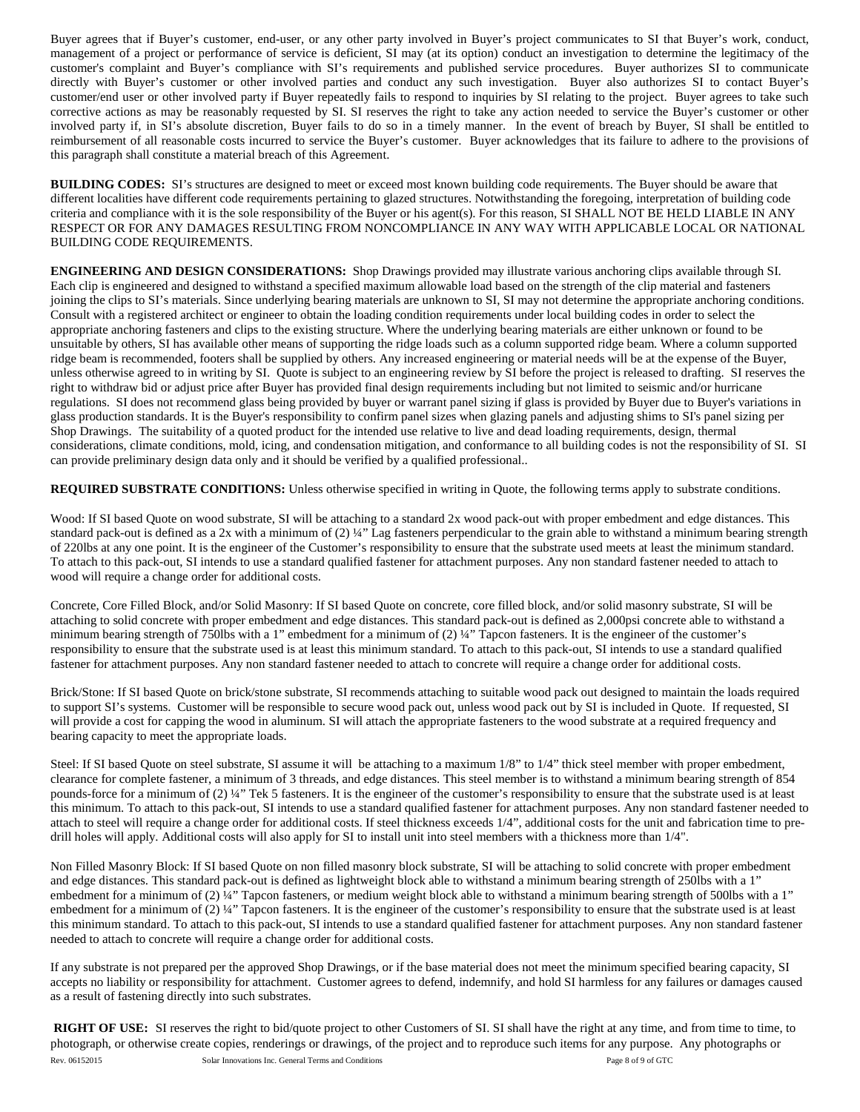Buyer agrees that if Buyer's customer, end-user, or any other party involved in Buyer's project communicates to SI that Buyer's work, conduct, management of a project or performance of service is deficient, SI may (at its option) conduct an investigation to determine the legitimacy of the customer's complaint and Buyer's compliance with SI's requirements and published service procedures. Buyer authorizes SI to communicate directly with Buyer's customer or other involved parties and conduct any such investigation. Buyer also authorizes SI to contact Buyer's customer/end user or other involved party if Buyer repeatedly fails to respond to inquiries by SI relating to the project. Buyer agrees to take such corrective actions as may be reasonably requested by SI. SI reserves the right to take any action needed to service the Buyer's customer or other involved party if, in SI's absolute discretion, Buyer fails to do so in a timely manner. In the event of breach by Buyer, SI shall be entitled to reimbursement of all reasonable costs incurred to service the Buyer's customer. Buyer acknowledges that its failure to adhere to the provisions of this paragraph shall constitute a material breach of this Agreement.

**BUILDING CODES:** SI's structures are designed to meet or exceed most known building code requirements. The Buyer should be aware that different localities have different code requirements pertaining to glazed structures. Notwithstanding the foregoing, interpretation of building code criteria and compliance with it is the sole responsibility of the Buyer or his agent(s). For this reason, SI SHALL NOT BE HELD LIABLE IN ANY RESPECT OR FOR ANY DAMAGES RESULTING FROM NONCOMPLIANCE IN ANY WAY WITH APPLICABLE LOCAL OR NATIONAL BUILDING CODE REQUIREMENTS.

**ENGINEERING AND DESIGN CONSIDERATIONS:** Shop Drawings provided may illustrate various anchoring clips available through SI. Each clip is engineered and designed to withstand a specified maximum allowable load based on the strength of the clip material and fasteners joining the clips to SI's materials. Since underlying bearing materials are unknown to SI, SI may not determine the appropriate anchoring conditions. Consult with a registered architect or engineer to obtain the loading condition requirements under local building codes in order to select the appropriate anchoring fasteners and clips to the existing structure. Where the underlying bearing materials are either unknown or found to be unsuitable by others, SI has available other means of supporting the ridge loads such as a column supported ridge beam. Where a column supported ridge beam is recommended, footers shall be supplied by others. Any increased engineering or material needs will be at the expense of the Buyer, unless otherwise agreed to in writing by SI. Quote is subject to an engineering review by SI before the project is released to drafting. SI reserves the right to withdraw bid or adjust price after Buyer has provided final design requirements including but not limited to seismic and/or hurricane regulations. SI does not recommend glass being provided by buyer or warrant panel sizing if glass is provided by Buyer due to Buyer's variations in glass production standards. It is the Buyer's responsibility to confirm panel sizes when glazing panels and adjusting shims to SI's panel sizing per Shop Drawings.The suitability of a quoted product for the intended use relative to live and dead loading requirements, design, thermal considerations, climate conditions, mold, icing, and condensation mitigation, and conformance to all building codes is not the responsibility of SI. SI can provide preliminary design data only and it should be verified by a qualified professional..

**REQUIRED SUBSTRATE CONDITIONS:** Unless otherwise specified in writing in Quote, the following terms apply to substrate conditions.

Wood: If SI based Quote on wood substrate, SI will be attaching to a standard 2x wood pack-out with proper embedment and edge distances. This standard pack-out is defined as a 2x with a minimum of (2) ¼" Lag fasteners perpendicular to the grain able to withstand a minimum bearing strength of 220lbs at any one point. It is the engineer of the Customer's responsibility to ensure that the substrate used meets at least the minimum standard. To attach to this pack-out, SI intends to use a standard qualified fastener for attachment purposes. Any non standard fastener needed to attach to wood will require a change order for additional costs.

Concrete, Core Filled Block, and/or Solid Masonry: If SI based Quote on concrete, core filled block, and/or solid masonry substrate, SI will be attaching to solid concrete with proper embedment and edge distances. This standard pack-out is defined as 2,000psi concrete able to withstand a minimum bearing strength of 750lbs with a 1" embedment for a minimum of (2) ¼" Tapcon fasteners. It is the engineer of the customer's responsibility to ensure that the substrate used is at least this minimum standard. To attach to this pack-out, SI intends to use a standard qualified fastener for attachment purposes. Any non standard fastener needed to attach to concrete will require a change order for additional costs.

Brick/Stone: If SI based Quote on brick/stone substrate, SI recommends attaching to suitable wood pack out designed to maintain the loads required to support SI's systems. Customer will be responsible to secure wood pack out, unless wood pack out by SI is included in Quote. If requested, SI will provide a cost for capping the wood in aluminum. SI will attach the appropriate fasteners to the wood substrate at a required frequency and bearing capacity to meet the appropriate loads.

Steel: If SI based Quote on steel substrate, SI assume it will be attaching to a maximum 1/8" to 1/4" thick steel member with proper embedment, clearance for complete fastener, a minimum of 3 threads, and edge distances. This steel member is to withstand a minimum bearing strength of 854 pounds-force for a minimum of (2) ¼" Tek 5 fasteners. It is the engineer of the customer's responsibility to ensure that the substrate used is at least this minimum. To attach to this pack-out, SI intends to use a standard qualified fastener for attachment purposes. Any non standard fastener needed to attach to steel will require a change order for additional costs. If steel thickness exceeds 1/4", additional costs for the unit and fabrication time to predrill holes will apply. Additional costs will also apply for SI to install unit into steel members with a thickness more than 1/4".

Non Filled Masonry Block: If SI based Quote on non filled masonry block substrate, SI will be attaching to solid concrete with proper embedment and edge distances. This standard pack-out is defined as lightweight block able to withstand a minimum bearing strength of 250lbs with a 1" embedment for a minimum of (2) 1/4" Tapcon fasteners, or medium weight block able to withstand a minimum bearing strength of 500lbs with a 1" embedment for a minimum of (2) ¼" Tapcon fasteners. It is the engineer of the customer's responsibility to ensure that the substrate used is at least this minimum standard. To attach to this pack-out, SI intends to use a standard qualified fastener for attachment purposes. Any non standard fastener needed to attach to concrete will require a change order for additional costs.

If any substrate is not prepared per the approved Shop Drawings, or if the base material does not meet the minimum specified bearing capacity, SI accepts no liability or responsibility for attachment. Customer agrees to defend, indemnify, and hold SI harmless for any failures or damages caused as a result of fastening directly into such substrates.

Rev. 06152015 Solar Innovations Inc. General Terms and Conditions **Page 8 of 9 of GTC RIGHT OF USE:** SI reserves the right to bid/quote project to other Customers of SI. SI shall have the right at any time, and from time to time, to photograph, or otherwise create copies, renderings or drawings, of the project and to reproduce such items for any purpose. Any photographs or